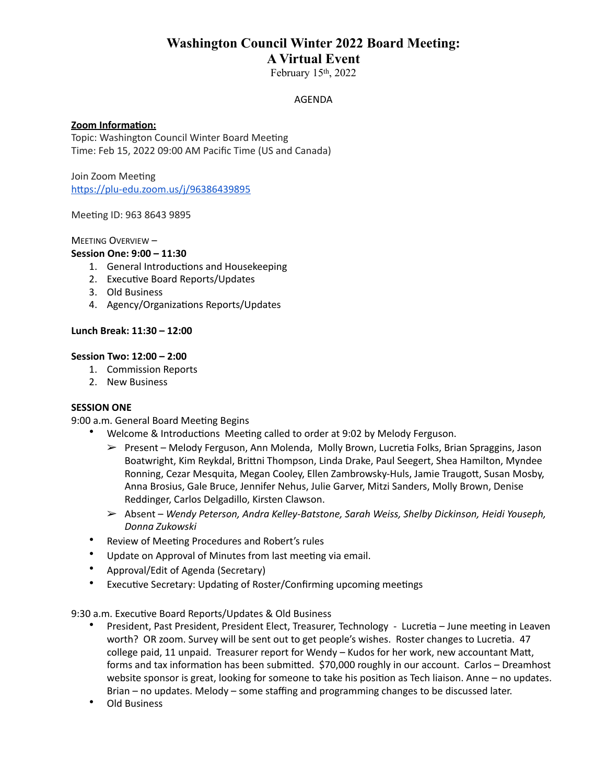## **Washington Council Winter 2022 Board Meeting: A Virtual Event**

February 15th, 2022

AGENDA

## **Zoom Information:**

Topic: Washington Council Winter Board Meeting Time: Feb 15, 2022 09:00 AM Pacific Time (US and Canada)

Join Zoom Meeting <https://plu-edu.zoom.us/j/96386439895>

Meeting ID: 963 8643 9895

MEETING OVERVIEW -

## **Session One: 9:00 – 11:30**

- 1. General Introductions and Housekeeping
- 2. Executive Board Reports/Updates
- 3. Old Business
- 4. Agency/Organizations Reports/Updates

### Lunch Break: 11:30 - 12:00

### **Session Two: 12:00 - 2:00**

- 1. Commission Reports
- 2. New Business

### **SESSION ONE**

9:00 a.m. General Board Meeting Begins

- Welcome & Introductions Meeting called to order at 9:02 by Melody Ferguson.
	- $\triangleright$  Present Melody Ferguson, Ann Molenda, Molly Brown, Lucretia Folks, Brian Spraggins, Jason Boatwright, Kim Reykdal, Brittni Thompson, Linda Drake, Paul Seegert, Shea Hamilton, Myndee Ronning, Cezar Mesquita, Megan Cooley, Ellen Zambrowsky-Huls, Jamie Traugott, Susan Mosby, Anna Brosius, Gale Bruce, Jennifer Nehus, Julie Garver, Mitzi Sanders, Molly Brown, Denise Reddinger, Carlos Delgadillo, Kirsten Clawson.
	- $▶$  Absent Wendy Peterson, Andra Kelley-Batstone, Sarah Weiss, Shelby Dickinson, Heidi Youseph, *Donna Zukowski*
- Review of Meeting Procedures and Robert's rules
- Update on Approval of Minutes from last meeting via email.
- Approval/Edit of Agenda (Secretary)
- Executive Secretary: Updating of Roster/Confirming upcoming meetings

9:30 a.m. Executive Board Reports/Updates & Old Business

- President, Past President, President Elect, Treasurer, Technology Lucretia June meeting in Leaven worth? OR zoom. Survey will be sent out to get people's wishes. Roster changes to Lucretia. 47 college paid, 11 unpaid. Treasurer report for Wendy – Kudos for her work, new accountant Matt, forms and tax information has been submitted. \$70,000 roughly in our account. Carlos - Dreamhost website sponsor is great, looking for someone to take his position as Tech liaison. Anne  $-$  no updates. Brian  $-$  no updates. Melody  $-$  some staffing and programming changes to be discussed later.
- **Old Business**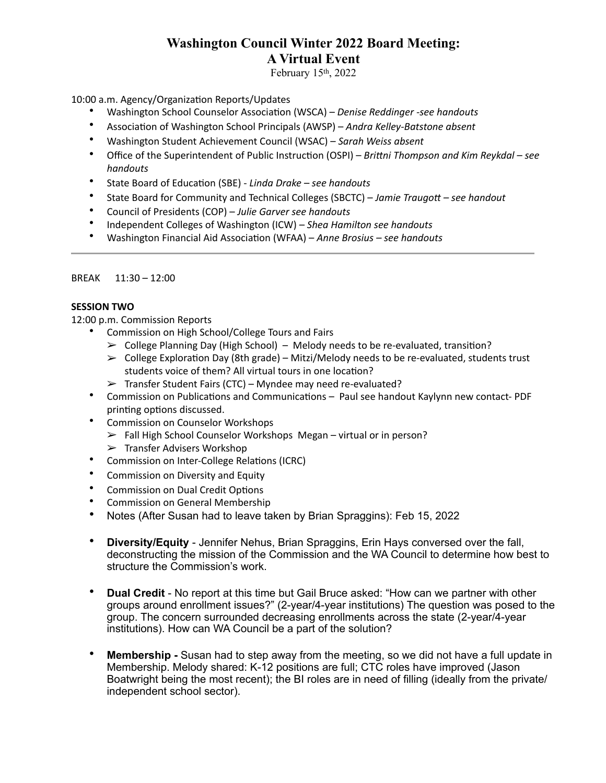## **Washington Council Winter 2022 Board Meeting: A Virtual Event**

February 15th, 2022

10:00 a.m. Agency/Organization Reports/Updates

- Washington School Counselor Association (WSCA) – *Denise Reddinger -see handouts*
- Association of Washington School Principals (AWSP) – *Andra Kelley-Batstone absent*
- Washington Student Achievement Council (WSAC) – *Sarah Weiss absent*
- Office of the Superintendent of Public Instruction (OSPI) *Brittni Thompson and Kim Reykdal* see *handouts*
- State Board of Education (SBE) *Linda Drake* see handouts
- State Board for Community and Technical Colleges (SBCTC) *Jamie Traugott* see handout
- Council of Presidents (COP) – *Julie Garver see handouts*
- Independent Colleges of Washington (ICW) Shea Hamilton see handouts
- Washington Financial Aid Association (WFAA) – *Anne Brosius – see handouts*

## $BREAK$   $11:30 - 12:00$

## **SESSION TWO**

12:00 p.m. Commission Reports

- Commission on High School/College Tours and Fairs
	- $\triangleright$  College Planning Day (High School) Melody needs to be re-evaluated, transition?
	- $\triangleright$  College Exploration Day (8th grade) Mitzi/Melody needs to be re-evaluated, students trust students voice of them? All virtual tours in one location?
	- $\triangleright$  Transfer Student Fairs (CTC) Myndee may need re-evaluated?
- Commission on Publications and Communications Paul see handout Kaylynn new contact- PDF printing options discussed.
- Commission on Counselor Workshops
	- $\triangleright$  Fall High School Counselor Workshops Megan virtual or in person?
	- $\triangleright$  Transfer Advisers Workshop
- Commission on Inter-College Relations (ICRC)
- Commission on Diversity and Equity
- Commission on Dual Credit Options
- Commission on General Membership
- Notes (After Susan had to leave taken by Brian Spraggins): Feb 15, 2022
- **Diversity/Equity** Jennifer Nehus, Brian Spraggins, Erin Hays conversed over the fall, deconstructing the mission of the Commission and the WA Council to determine how best to structure the Commission's work.
- **Dual Credit**  No report at this time but Gail Bruce asked: "How can we partner with other groups around enrollment issues?" (2-year/4-year institutions) The question was posed to the group. The concern surrounded decreasing enrollments across the state (2-year/4-year institutions). How can WA Council be a part of the solution?
- **Membership** Susan had to step away from the meeting, so we did not have a full update in Membership. Melody shared: K-12 positions are full; CTC roles have improved (Jason Boatwright being the most recent); the BI roles are in need of filling (ideally from the private/ independent school sector).